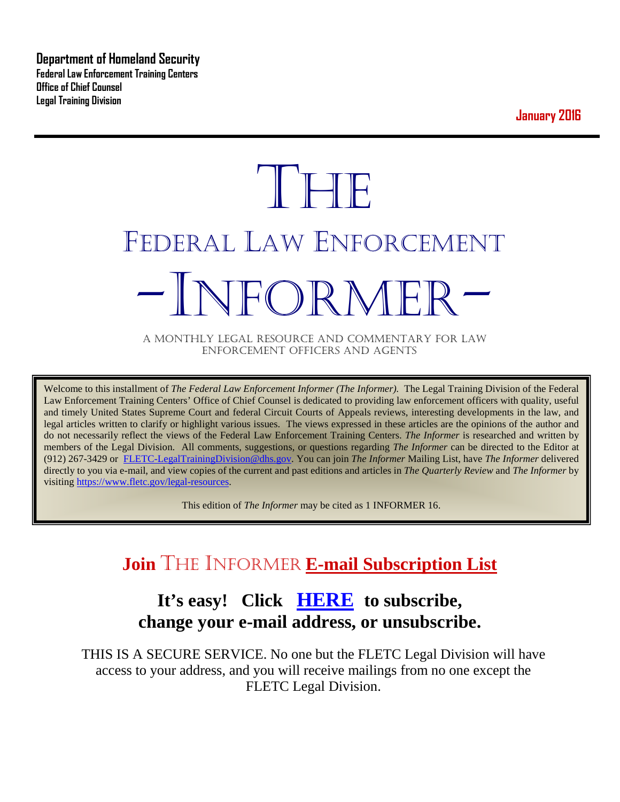**Department of Homeland Security Federal Law Enforcement Training Centers Office of Chief Counsel Legal Training Division** 

**January 2016**

# **THE** FEDERAL LAW ENFORCEMENT -INFORMER- A MONTHLY LEGAL RESOURCE AND COMMENTARY FOR LAW

ENFORCEMENT OFFICERS AND AGENTS

Welcome to this installment of *The Federal Law Enforcement Informer (The Informer).* The Legal Training Division of the Federal Law Enforcement Training Centers' Office of Chief Counsel is dedicated to providing law enforcement officers with quality, useful and timely United States Supreme Court and federal Circuit Courts of Appeals reviews, interesting developments in the law, and legal articles written to clarify or highlight various issues. The views expressed in these articles are the opinions of the author and do not necessarily reflect the views of the Federal Law Enforcement Training Centers. *The Informer* is researched and written by members of the Legal Division. All comments, suggestions, or questions regarding *The Informer* can be directed to the Editor at (912) 267-3429 or [FLETC-LegalTrainingDivision@dhs.gov.](mailto:FLETC-LegalTrainingDivision@dhs.gov) You can join *The Informer* Mailing List, have *The Informer* delivered directly to you via e-mail, and view copies of the current and past editions and articles in *The Quarterly Review* and *The Informer* by visiting [https://www.fletc.gov/legal-resources.](https://www.fletc.gov/legal-resources) 

This edition of *The Informer* may be cited as 1 INFORMER 16.

## **Join** THE INFORMER **E-mail Subscription List**

## **It's easy! Click [HERE](http://peach.ease.lsoft.com/scripts/wa.exe?SUBED1=fletclgd&A=1) to subscribe, change your e-mail address, or unsubscribe.**

THIS IS A SECURE SERVICE. No one but the FLETC Legal Division will have access to your address, and you will receive mailings from no one except the FLETC Legal Division.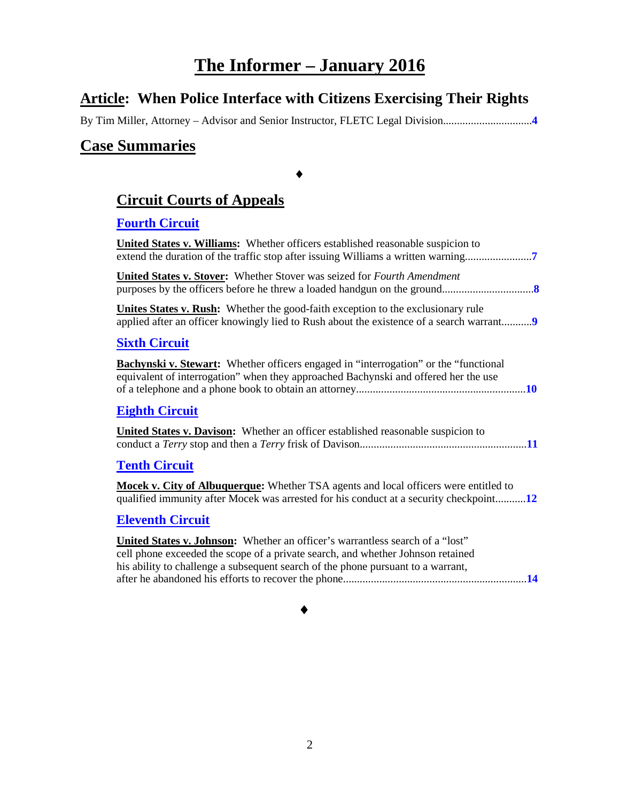## **The Informer – January 2016**

### **Article: When Police Interface with Citizens Exercising Their Rights**

By Tim Miller, Attorney – Advisor and Senior Instructor, FLETC Legal Division................................**[4](#page-3-0)**

#### **Case Summaries**

## **[Circuit Courts of Appeals](#page-6-0)**

♦

#### **[Fourth Circuit](#page-6-1)**

| <b>United States v. Williams:</b> Whether officers established reasonable suspicion to                                                                                                                                                               |
|------------------------------------------------------------------------------------------------------------------------------------------------------------------------------------------------------------------------------------------------------|
| United States v. Stover: Whether Stover was seized for Fourth Amendment                                                                                                                                                                              |
| <b>Unites States v. Rush:</b> Whether the good-faith exception to the exclusionary rule<br>applied after an officer knowingly lied to Rush about the existence of a search warrant9                                                                  |
| <b>Sixth Circuit</b>                                                                                                                                                                                                                                 |
| <b>Bachynski v. Stewart:</b> Whether officers engaged in "interrogation" or the "functional"<br>equivalent of interrogation" when they approached Bachynski and offered her the use                                                                  |
| <b>Eighth Circuit</b>                                                                                                                                                                                                                                |
| <b>United States v. Davison:</b> Whether an officer established reasonable suspicion to                                                                                                                                                              |
| <b>Tenth Circuit</b>                                                                                                                                                                                                                                 |
| <b>Mocek v. City of Albuquerque:</b> Whether TSA agents and local officers were entitled to<br>qualified immunity after Mocek was arrested for his conduct at a security checkpoint12                                                                |
| <b>Eleventh Circuit</b>                                                                                                                                                                                                                              |
| United States v. Johnson: Whether an officer's warrantless search of a "lost"<br>cell phone exceeded the scope of a private search, and whether Johnson retained<br>his ability to challenge a subsequent search of the phone pursuant to a warrant, |

♦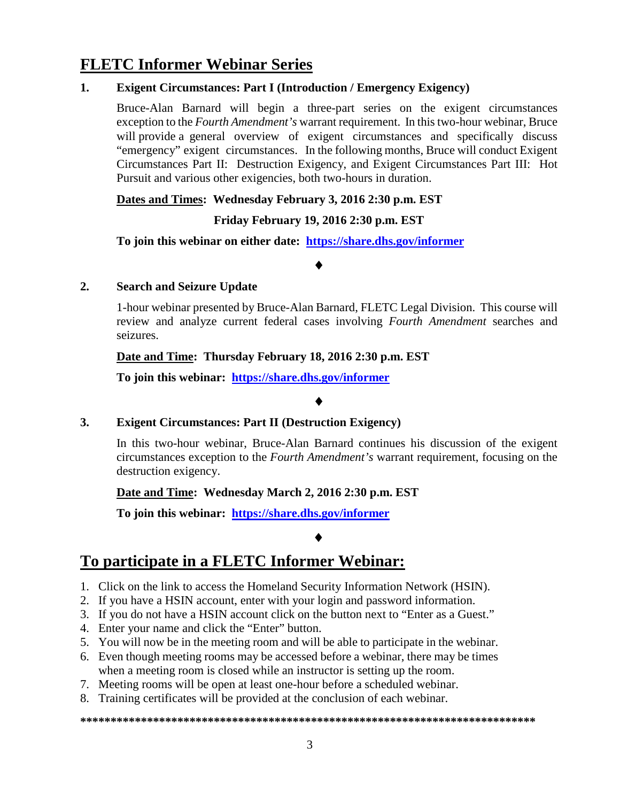## **FLETC Informer Webinar Series**

#### **1. Exigent Circumstances: Part I (Introduction / Emergency Exigency)**

Bruce-Alan Barnard will begin a three-part series on the exigent circumstances exception to the *Fourth Amendment's* warrant requirement. In this two-hour webinar, Bruce will provide a general overview of exigent circumstances and specifically discuss "emergency" exigent circumstances. In the following months, Bruce will conduct Exigent Circumstances Part II: Destruction Exigency, and Exigent Circumstances Part III: Hot Pursuit and various other exigencies, both two-hours in duration.

#### **Dates and Times: Wednesday February 3, 2016 2:30 p.m. EST**

#### **Friday February 19, 2016 2:30 p.m. EST**

**To join this webinar on either date: <https://share.dhs.gov/informer>**

#### ♦

#### **2. Search and Seizure Update**

1-hour webinar presented by Bruce-Alan Barnard, FLETC Legal Division. This course will review and analyze current federal cases involving *Fourth Amendment* searches and seizures.

#### **Date and Time: Thursday February 18, 2016 2:30 p.m. EST**

**To join this webinar: <https://share.dhs.gov/informer>**

#### ♦

#### **3. Exigent Circumstances: Part II (Destruction Exigency)**

In this two-hour webinar, Bruce-Alan Barnard continues his discussion of the exigent circumstances exception to the *Fourth Amendment's* warrant requirement, focusing on the destruction exigency.

#### **Date and Time: Wednesday March 2, 2016 2:30 p.m. EST**

**To join this webinar: <https://share.dhs.gov/informer>**

#### ♦

## **To participate in a FLETC Informer Webinar:**

- 1. Click on the link to access the Homeland Security Information Network (HSIN).
- 2. If you have a HSIN account, enter with your login and password information.
- 3. If you do not have a HSIN account click on the button next to "Enter as a Guest."
- 4. Enter your name and click the "Enter" button.
- 5. You will now be in the meeting room and will be able to participate in the webinar.
- 6. Even though meeting rooms may be accessed before a webinar, there may be times when a meeting room is closed while an instructor is setting up the room.
- 7. Meeting rooms will be open at least one-hour before a scheduled webinar.
- 8. Training certificates will be provided at the conclusion of each webinar.

#### **\*\*\*\*\*\*\*\*\*\*\*\*\*\*\*\*\*\*\*\*\*\*\*\*\*\*\*\*\*\*\*\*\*\*\*\*\*\*\*\*\*\*\*\*\*\*\*\*\*\*\*\*\*\*\*\*\*\*\*\*\*\*\*\*\*\*\*\*\*\*\*\*\*\*\***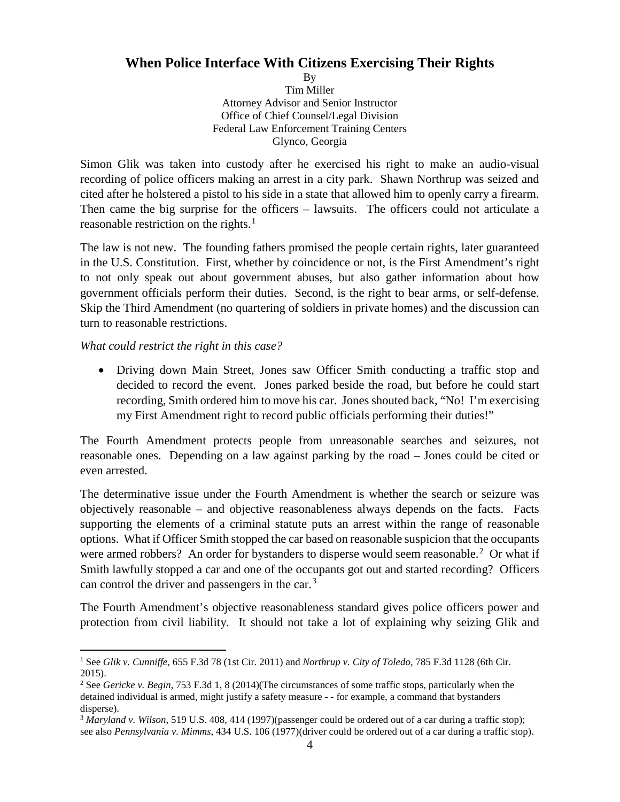#### <span id="page-3-0"></span>**When Police Interface With Citizens Exercising Their Rights**

By Tim Miller Attorney Advisor and Senior Instructor Office of Chief Counsel/Legal Division Federal Law Enforcement Training Centers Glynco, Georgia

Simon Glik was taken into custody after he exercised his right to make an audio-visual recording of police officers making an arrest in a city park. Shawn Northrup was seized and cited after he holstered a pistol to his side in a state that allowed him to openly carry a firearm. Then came the big surprise for the officers – lawsuits. The officers could not articulate a reasonable restriction on the rights.<sup>[1](#page-3-1)</sup>

The law is not new. The founding fathers promised the people certain rights, later guaranteed in the U.S. Constitution. First, whether by coincidence or not, is the First Amendment's right to not only speak out about government abuses, but also gather information about how government officials perform their duties. Second, is the right to bear arms, or self-defense. Skip the Third Amendment (no quartering of soldiers in private homes) and the discussion can turn to reasonable restrictions.

*What could restrict the right in this case?*

• Driving down Main Street, Jones saw Officer Smith conducting a traffic stop and decided to record the event. Jones parked beside the road, but before he could start recording, Smith ordered him to move his car. Jones shouted back, "No! I'm exercising my First Amendment right to record public officials performing their duties!"

The Fourth Amendment protects people from unreasonable searches and seizures, not reasonable ones. Depending on a law against parking by the road – Jones could be cited or even arrested.

The determinative issue under the Fourth Amendment is whether the search or seizure was objectively reasonable – and objective reasonableness always depends on the facts. Facts supporting the elements of a criminal statute puts an arrest within the range of reasonable options. What if Officer Smith stopped the car based on reasonable suspicion that the occupants were armed robbers? An order for bystanders to disperse would seem reasonable.<sup>[2](#page-3-2)</sup> Or what if Smith lawfully stopped a car and one of the occupants got out and started recording? Officers can control the driver and passengers in the car.<sup>[3](#page-3-3)</sup>

The Fourth Amendment's objective reasonableness standard gives police officers power and protection from civil liability. It should not take a lot of explaining why seizing Glik and

<span id="page-3-1"></span> <sup>1</sup> See *Glik v. Cunniffe*, 655 F.3d 78 (1st Cir. 2011) and *Northrup v. City of Toledo,* 785 F.3d 1128 (6th Cir. 2015).

<span id="page-3-2"></span><sup>2</sup> See *Gericke v. Begin*, 753 F.3d 1, 8 (2014)(The circumstances of some traffic stops, particularly when the detained individual is armed, might justify a safety measure - - for example, a command that bystanders disperse).

<span id="page-3-3"></span><sup>3</sup> *Maryland v. Wilson*, 519 U.S. 408, 414 (1997)(passenger could be ordered out of a car during a traffic stop); see also *Pennsylvania v. Mimms*, 434 U.S. 106 (1977)(driver could be ordered out of a car during a traffic stop).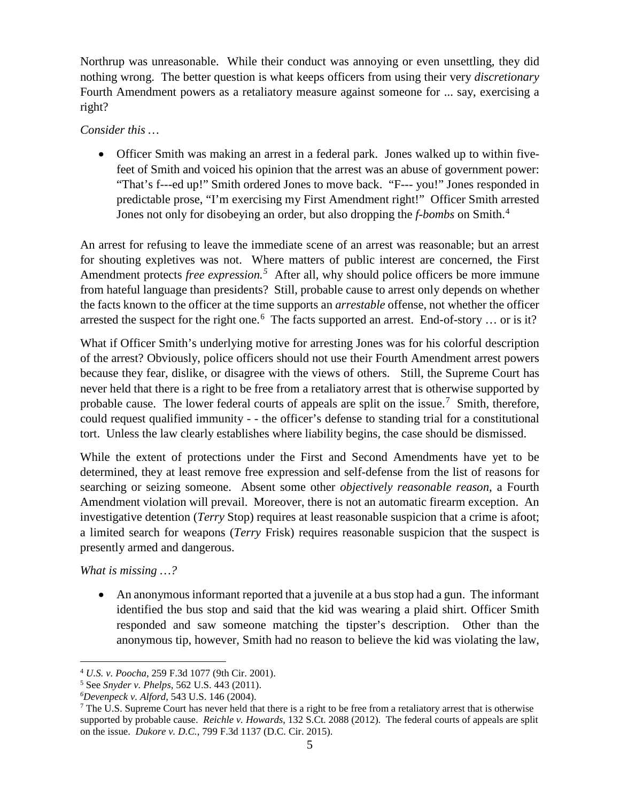Northrup was unreasonable. While their conduct was annoying or even unsettling, they did nothing wrong. The better question is what keeps officers from using their very *discretionary* Fourth Amendment powers as a retaliatory measure against someone for ... say, exercising a right?

#### *Consider this …*

• Officer Smith was making an arrest in a federal park. Jones walked up to within fivefeet of Smith and voiced his opinion that the arrest was an abuse of government power: "That's f---ed up!" Smith ordered Jones to move back. "F--- you!" Jones responded in predictable prose, "I'm exercising my First Amendment right!" Officer Smith arrested Jones not only for disobeying an order, but also dropping the *f-bombs* on Smith.[4](#page-4-0)

An arrest for refusing to leave the immediate scene of an arrest was reasonable; but an arrest for shouting expletives was not. Where matters of public interest are concerned, the First Amendment protects *free expression*.<sup>[5](#page-4-1)</sup> After all, why should police officers be more immune from hateful language than presidents? Still, probable cause to arrest only depends on whether the facts known to the officer at the time supports an *arrestable* offense, not whether the officer arrested the suspect for the right one.<sup>[6](#page-4-2)</sup> The facts supported an arrest. End-of-story ... or is it?

What if Officer Smith's underlying motive for arresting Jones was for his colorful description of the arrest? Obviously, police officers should not use their Fourth Amendment arrest powers because they fear, dislike, or disagree with the views of others. Still, the Supreme Court has never held that there is a right to be free from a retaliatory arrest that is otherwise supported by probable cause. The lower federal courts of appeals are split on the issue.<sup>[7](#page-4-3)</sup> Smith, therefore, could request qualified immunity - - the officer's defense to standing trial for a constitutional tort. Unless the law clearly establishes where liability begins, the case should be dismissed.

While the extent of protections under the First and Second Amendments have yet to be determined, they at least remove free expression and self-defense from the list of reasons for searching or seizing someone. Absent some other *objectively reasonable reason*, a Fourth Amendment violation will prevail. Moreover, there is not an automatic firearm exception. An investigative detention (*Terry* Stop) requires at least reasonable suspicion that a crime is afoot; a limited search for weapons (*Terry* Frisk) requires reasonable suspicion that the suspect is presently armed and dangerous.

*What is missing …?*

• An anonymous informant reported that a juvenile at a bus stop had a gun. The informant identified the bus stop and said that the kid was wearing a plaid shirt. Officer Smith responded and saw someone matching the tipster's description. Other than the anonymous tip, however, Smith had no reason to believe the kid was violating the law,

<span id="page-4-0"></span> <sup>4</sup> *U.S. v. Poocha*, 259 F.3d 1077 (9th Cir. 2001).

<span id="page-4-1"></span><sup>5</sup> See *Snyder v. Phelps*, 562 U.S. 443 (2011).

<span id="page-4-3"></span><span id="page-4-2"></span><sup>&</sup>lt;sup>6</sup>Devenpeck v. Alford, 543 U.S. 146 (2004).

<sup>&</sup>lt;sup>7</sup> The U.S. Supreme Court has never held that there is a right to be free from a retaliatory arrest that is otherwise supported by probable cause. *Reichle v. Howards*, 132 S.Ct. 2088 (2012). The federal courts of appeals are split on the issue. *Dukore v. D.C.*, 799 F.3d 1137 (D.C. Cir. 2015).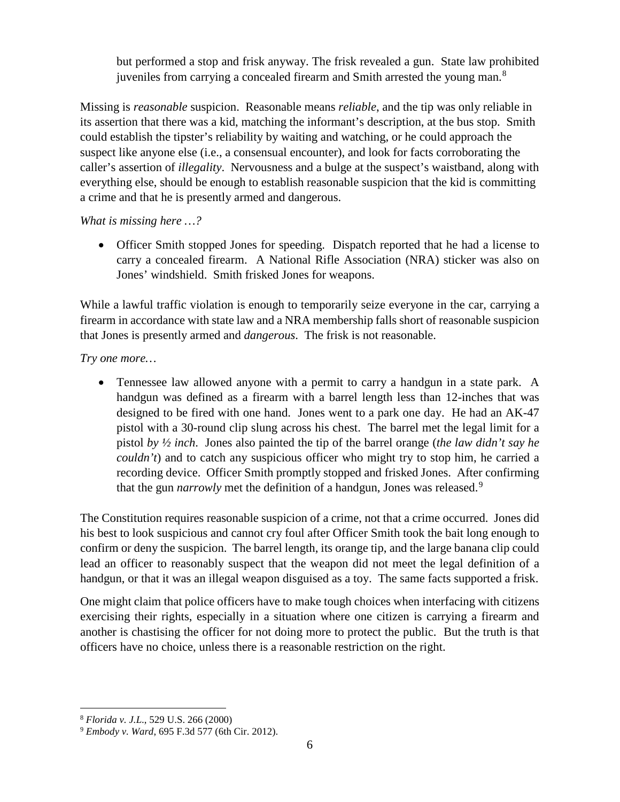but performed a stop and frisk anyway. The frisk revealed a gun. State law prohibited juveniles from carrying a concealed firearm and Smith arrested the young man.<sup>[8](#page-5-0)</sup>

Missing is *reasonable* suspicion. Reasonable means *reliable*, and the tip was only reliable in its assertion that there was a kid, matching the informant's description, at the bus stop. Smith could establish the tipster's reliability by waiting and watching, or he could approach the suspect like anyone else (i.e., a consensual encounter), and look for facts corroborating the caller's assertion of *illegality*. Nervousness and a bulge at the suspect's waistband, along with everything else, should be enough to establish reasonable suspicion that the kid is committing a crime and that he is presently armed and dangerous.

*What is missing here …?*

• Officer Smith stopped Jones for speeding. Dispatch reported that he had a license to carry a concealed firearm. A National Rifle Association (NRA) sticker was also on Jones' windshield. Smith frisked Jones for weapons.

While a lawful traffic violation is enough to temporarily seize everyone in the car, carrying a firearm in accordance with state law and a NRA membership falls short of reasonable suspicion that Jones is presently armed and *dangerous*. The frisk is not reasonable.

*Try one more…*

• Tennessee law allowed anyone with a permit to carry a handgun in a state park. A handgun was defined as a firearm with a barrel length less than 12-inches that was designed to be fired with one hand. Jones went to a park one day. He had an AK-47 pistol with a 30-round clip slung across his chest. The barrel met the legal limit for a pistol *by ½ inch*. Jones also painted the tip of the barrel orange (*the law didn't say he couldn't*) and to catch any suspicious officer who might try to stop him, he carried a recording device. Officer Smith promptly stopped and frisked Jones. After confirming that the gun *narrowly* met the definition of a handgun, Jones was released.<sup>[9](#page-5-1)</sup>

The Constitution requires reasonable suspicion of a crime, not that a crime occurred. Jones did his best to look suspicious and cannot cry foul after Officer Smith took the bait long enough to confirm or deny the suspicion. The barrel length, its orange tip, and the large banana clip could lead an officer to reasonably suspect that the weapon did not meet the legal definition of a handgun, or that it was an illegal weapon disguised as a toy. The same facts supported a frisk.

One might claim that police officers have to make tough choices when interfacing with citizens exercising their rights, especially in a situation where one citizen is carrying a firearm and another is chastising the officer for not doing more to protect the public. But the truth is that officers have no choice, unless there is a reasonable restriction on the right.

<span id="page-5-1"></span><span id="page-5-0"></span><sup>8</sup> *Florida v. J.L*., 529 U.S. 266 (2000) 9 *Embody v. Ward*, 695 F.3d 577 (6th Cir. 2012).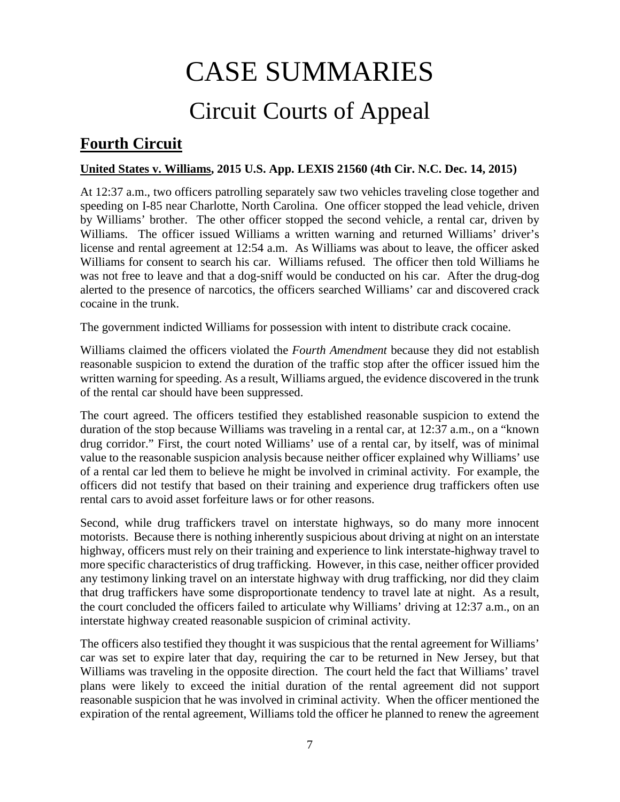## CASE SUMMARIES

## Circuit Courts of Appeal

## <span id="page-6-1"></span><span id="page-6-0"></span>**Fourth Circuit**

#### <span id="page-6-2"></span>**United States v. Williams, 2015 U.S. App. LEXIS 21560 (4th Cir. N.C. Dec. 14, 2015)**

At 12:37 a.m., two officers patrolling separately saw two vehicles traveling close together and speeding on I-85 near Charlotte, North Carolina. One officer stopped the lead vehicle, driven by Williams' brother. The other officer stopped the second vehicle, a rental car, driven by Williams. The officer issued Williams a written warning and returned Williams' driver's license and rental agreement at 12:54 a.m. As Williams was about to leave, the officer asked Williams for consent to search his car. Williams refused. The officer then told Williams he was not free to leave and that a dog-sniff would be conducted on his car. After the drug-dog alerted to the presence of narcotics, the officers searched Williams' car and discovered crack cocaine in the trunk.

The government indicted Williams for possession with intent to distribute crack cocaine.

Williams claimed the officers violated the *Fourth Amendment* because they did not establish reasonable suspicion to extend the duration of the traffic stop after the officer issued him the written warning for speeding. As a result, Williams argued, the evidence discovered in the trunk of the rental car should have been suppressed.

The court agreed. The officers testified they established reasonable suspicion to extend the duration of the stop because Williams was traveling in a rental car, at 12:37 a.m., on a "known drug corridor." First, the court noted Williams' use of a rental car, by itself, was of minimal value to the reasonable suspicion analysis because neither officer explained why Williams' use of a rental car led them to believe he might be involved in criminal activity. For example, the officers did not testify that based on their training and experience drug traffickers often use rental cars to avoid asset forfeiture laws or for other reasons.

Second, while drug traffickers travel on interstate highways, so do many more innocent motorists. Because there is nothing inherently suspicious about driving at night on an interstate highway, officers must rely on their training and experience to link interstate-highway travel to more specific characteristics of drug trafficking. However, in this case, neither officer provided any testimony linking travel on an interstate highway with drug trafficking, nor did they claim that drug traffickers have some disproportionate tendency to travel late at night. As a result, the court concluded the officers failed to articulate why Williams' driving at 12:37 a.m., on an interstate highway created reasonable suspicion of criminal activity.

The officers also testified they thought it was suspicious that the rental agreement for Williams' car was set to expire later that day, requiring the car to be returned in New Jersey, but that Williams was traveling in the opposite direction. The court held the fact that Williams' travel plans were likely to exceed the initial duration of the rental agreement did not support reasonable suspicion that he was involved in criminal activity. When the officer mentioned the expiration of the rental agreement, Williams told the officer he planned to renew the agreement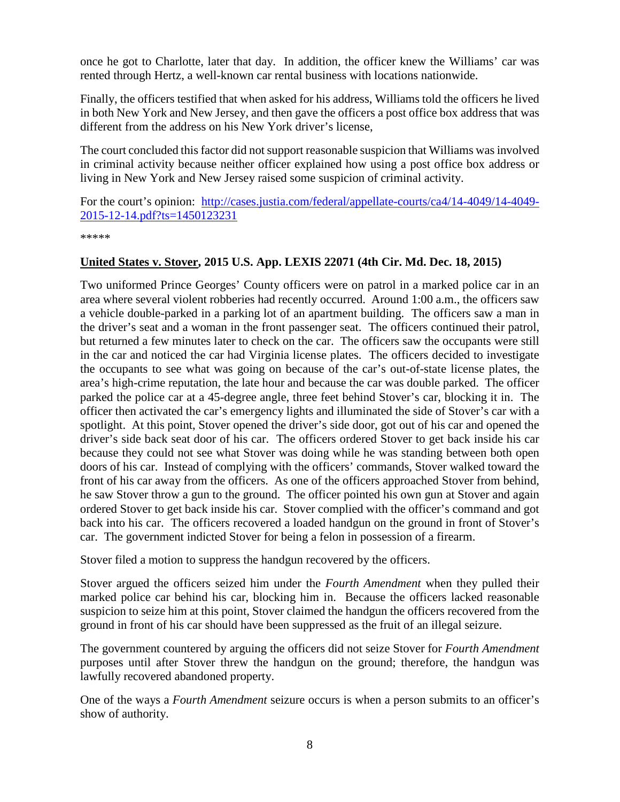once he got to Charlotte, later that day. In addition, the officer knew the Williams' car was rented through Hertz, a well-known car rental business with locations nationwide.

Finally, the officers testified that when asked for his address, Williams told the officers he lived in both New York and New Jersey, and then gave the officers a post office box address that was different from the address on his New York driver's license,

The court concluded this factor did not support reasonable suspicion that Williams was involved in criminal activity because neither officer explained how using a post office box address or living in New York and New Jersey raised some suspicion of criminal activity.

For the court's opinion: [http://cases.justia.com/federal/appellate-courts/ca4/14-4049/14-4049-](http://cases.justia.com/federal/appellate-courts/ca4/14-4049/14-4049-2015-12-14.pdf?ts=1450123231) [2015-12-14.pdf?ts=1450123231](http://cases.justia.com/federal/appellate-courts/ca4/14-4049/14-4049-2015-12-14.pdf?ts=1450123231)

\*\*\*\*\*

#### <span id="page-7-0"></span>**United States v. Stover, 2015 U.S. App. LEXIS 22071 (4th Cir. Md. Dec. 18, 2015)**

Two uniformed Prince Georges' County officers were on patrol in a marked police car in an area where several violent robberies had recently occurred. Around 1:00 a.m., the officers saw a vehicle double-parked in a parking lot of an apartment building. The officers saw a man in the driver's seat and a woman in the front passenger seat. The officers continued their patrol, but returned a few minutes later to check on the car. The officers saw the occupants were still in the car and noticed the car had Virginia license plates. The officers decided to investigate the occupants to see what was going on because of the car's out-of-state license plates, the area's high-crime reputation, the late hour and because the car was double parked. The officer parked the police car at a 45-degree angle, three feet behind Stover's car, blocking it in. The officer then activated the car's emergency lights and illuminated the side of Stover's car with a spotlight. At this point, Stover opened the driver's side door, got out of his car and opened the driver's side back seat door of his car. The officers ordered Stover to get back inside his car because they could not see what Stover was doing while he was standing between both open doors of his car. Instead of complying with the officers' commands, Stover walked toward the front of his car away from the officers. As one of the officers approached Stover from behind, he saw Stover throw a gun to the ground. The officer pointed his own gun at Stover and again ordered Stover to get back inside his car. Stover complied with the officer's command and got back into his car. The officers recovered a loaded handgun on the ground in front of Stover's car. The government indicted Stover for being a felon in possession of a firearm.

Stover filed a motion to suppress the handgun recovered by the officers.

Stover argued the officers seized him under the *Fourth Amendment* when they pulled their marked police car behind his car, blocking him in. Because the officers lacked reasonable suspicion to seize him at this point, Stover claimed the handgun the officers recovered from the ground in front of his car should have been suppressed as the fruit of an illegal seizure.

The government countered by arguing the officers did not seize Stover for *Fourth Amendment* purposes until after Stover threw the handgun on the ground; therefore, the handgun was lawfully recovered abandoned property.

One of the ways a *Fourth Amendment* seizure occurs is when a person submits to an officer's show of authority.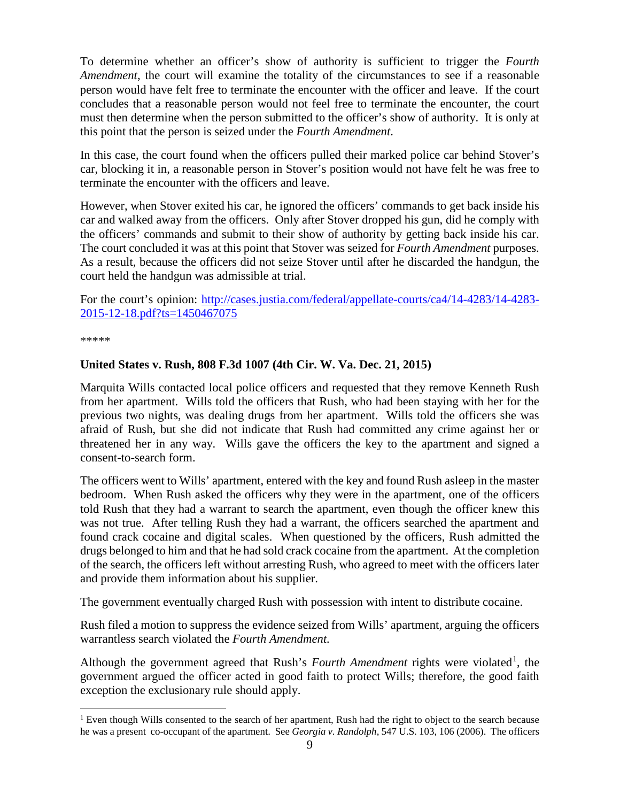To determine whether an officer's show of authority is sufficient to trigger the *Fourth Amendment*, the court will examine the totality of the circumstances to see if a reasonable person would have felt free to terminate the encounter with the officer and leave. If the court concludes that a reasonable person would not feel free to terminate the encounter, the court must then determine when the person submitted to the officer's show of authority. It is only at this point that the person is seized under the *Fourth Amendment*.

In this case, the court found when the officers pulled their marked police car behind Stover's car, blocking it in, a reasonable person in Stover's position would not have felt he was free to terminate the encounter with the officers and leave.

However, when Stover exited his car, he ignored the officers' commands to get back inside his car and walked away from the officers. Only after Stover dropped his gun, did he comply with the officers' commands and submit to their show of authority by getting back inside his car. The court concluded it was at this point that Stover was seized for *Fourth Amendment* purposes. As a result, because the officers did not seize Stover until after he discarded the handgun, the court held the handgun was admissible at trial.

For the court's opinion: [http://cases.justia.com/federal/appellate-courts/ca4/14-4283/14-4283-](http://cases.justia.com/federal/appellate-courts/ca4/14-4283/14-4283-2015-12-18.pdf?ts=1450467075) [2015-12-18.pdf?ts=1450467075](http://cases.justia.com/federal/appellate-courts/ca4/14-4283/14-4283-2015-12-18.pdf?ts=1450467075) 

\*\*\*\*\*

#### <span id="page-8-0"></span>**United States v. Rush, 808 F.3d 1007 (4th Cir. W. Va. Dec. 21, 2015)**

Marquita Wills contacted local police officers and requested that they remove Kenneth Rush from her apartment. Wills told the officers that Rush, who had been staying with her for the previous two nights, was dealing drugs from her apartment. Wills told the officers she was afraid of Rush, but she did not indicate that Rush had committed any crime against her or threatened her in any way. Wills gave the officers the key to the apartment and signed a consent-to-search form.

The officers went to Wills' apartment, entered with the key and found Rush asleep in the master bedroom. When Rush asked the officers why they were in the apartment, one of the officers told Rush that they had a warrant to search the apartment, even though the officer knew this was not true. After telling Rush they had a warrant, the officers searched the apartment and found crack cocaine and digital scales. When questioned by the officers, Rush admitted the drugs belonged to him and that he had sold crack cocaine from the apartment. At the completion of the search, the officers left without arresting Rush, who agreed to meet with the officers later and provide them information about his supplier.

The government eventually charged Rush with possession with intent to distribute cocaine.

Rush filed a motion to suppress the evidence seized from Wills' apartment, arguing the officers warrantless search violated the *Fourth Amendment.*

Although the government agreed that Rush's *Fourth Amendment* rights were violated<sup>[1](#page-8-1)</sup>, the government argued the officer acted in good faith to protect Wills; therefore, the good faith exception the exclusionary rule should apply.

<span id="page-8-1"></span><sup>&</sup>lt;sup>1</sup> Even though Wills consented to the search of her apartment, Rush had the right to object to the search because he was a present co-occupant of the apartment. See *Georgia v. Randolph*, 547 U.S. 103, 106 (2006). The officers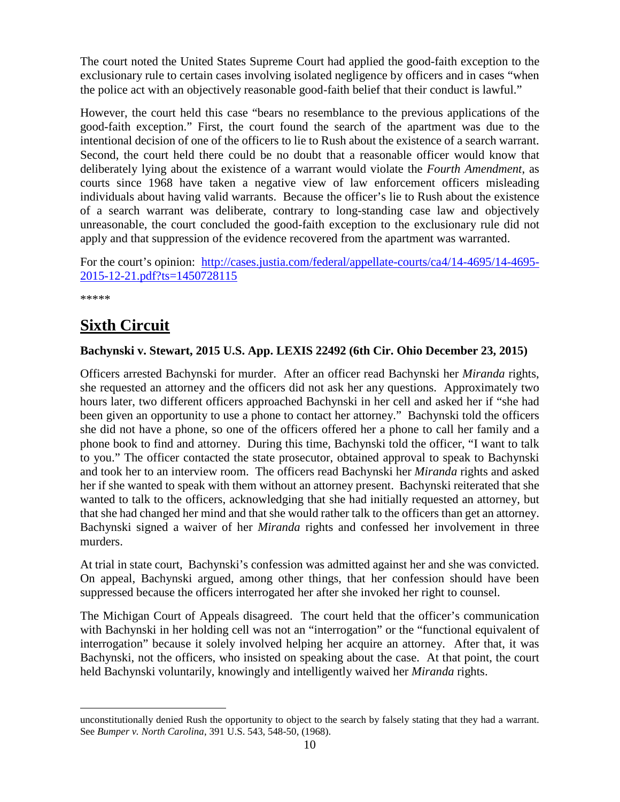The court noted the United States Supreme Court had applied the good-faith exception to the exclusionary rule to certain cases involving isolated negligence by officers and in cases "when the police act with an objectively reasonable good-faith belief that their conduct is lawful."

However, the court held this case "bears no resemblance to the previous applications of the good-faith exception." First, the court found the search of the apartment was due to the intentional decision of one of the officers to lie to Rush about the existence of a search warrant. Second, the court held there could be no doubt that a reasonable officer would know that deliberately lying about the existence of a warrant would violate the *Fourth Amendment*, as courts since 1968 have taken a negative view of law enforcement officers misleading individuals about having valid warrants. Because the officer's lie to Rush about the existence of a search warrant was deliberate, contrary to long-standing case law and objectively unreasonable, the court concluded the good-faith exception to the exclusionary rule did not apply and that suppression of the evidence recovered from the apartment was warranted.

For the court's opinion: [http://cases.justia.com/federal/appellate-courts/ca4/14-4695/14-4695-](http://cases.justia.com/federal/appellate-courts/ca4/14-4695/14-4695-2015-12-21.pdf?ts=1450728115) [2015-12-21.pdf?ts=1450728115](http://cases.justia.com/federal/appellate-courts/ca4/14-4695/14-4695-2015-12-21.pdf?ts=1450728115)

\*\*\*\*\*

## <span id="page-9-0"></span>**Sixth Circuit**

#### <span id="page-9-1"></span>**Bachynski v. Stewart, 2015 U.S. App. LEXIS 22492 (6th Cir. Ohio December 23, 2015)**

Officers arrested Bachynski for murder. After an officer read Bachynski her *Miranda* rights, she requested an attorney and the officers did not ask her any questions. Approximately two hours later, two different officers approached Bachynski in her cell and asked her if "she had been given an opportunity to use a phone to contact her attorney." Bachynski told the officers she did not have a phone, so one of the officers offered her a phone to call her family and a phone book to find and attorney. During this time, Bachynski told the officer, "I want to talk to you." The officer contacted the state prosecutor, obtained approval to speak to Bachynski and took her to an interview room. The officers read Bachynski her *Miranda* rights and asked her if she wanted to speak with them without an attorney present. Bachynski reiterated that she wanted to talk to the officers, acknowledging that she had initially requested an attorney, but that she had changed her mind and that she would rather talk to the officers than get an attorney. Bachynski signed a waiver of her *Miranda* rights and confessed her involvement in three murders.

At trial in state court, Bachynski's confession was admitted against her and she was convicted. On appeal, Bachynski argued, among other things, that her confession should have been suppressed because the officers interrogated her after she invoked her right to counsel.

The Michigan Court of Appeals disagreed. The court held that the officer's communication with Bachynski in her holding cell was not an "interrogation" or the "functional equivalent of interrogation" because it solely involved helping her acquire an attorney. After that, it was Bachynski, not the officers, who insisted on speaking about the case. At that point, the court held Bachynski voluntarily, knowingly and intelligently waived her *Miranda* rights.

unconstitutionally denied Rush the opportunity to object to the search by falsely stating that they had a warrant. See *Bumper v. North Carolina*, 391 U.S. 543, 548-50, (1968).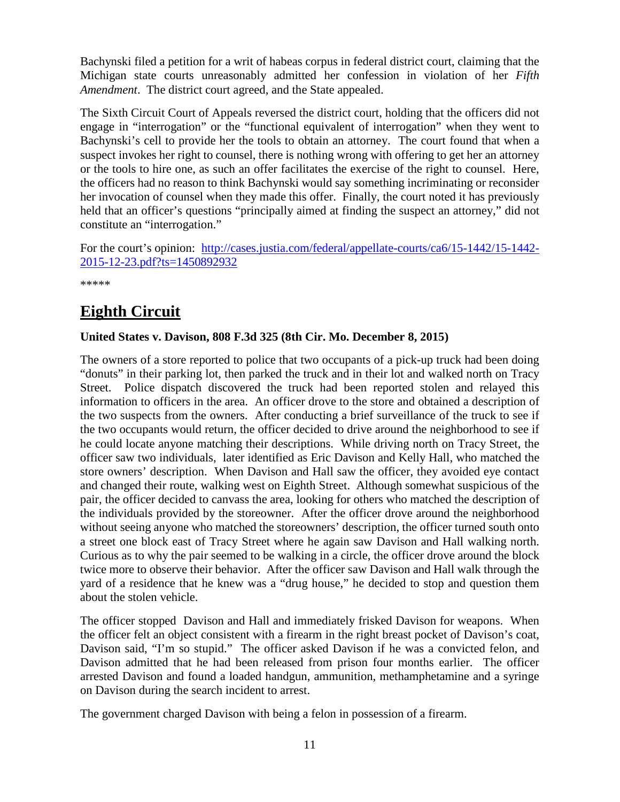Bachynski filed a petition for a writ of habeas corpus in federal district court, claiming that the Michigan state courts unreasonably admitted her confession in violation of her *Fifth Amendment*. The district court agreed, and the State appealed.

The Sixth Circuit Court of Appeals reversed the district court, holding that the officers did not engage in "interrogation" or the "functional equivalent of interrogation" when they went to Bachynski's cell to provide her the tools to obtain an attorney. The court found that when a suspect invokes her right to counsel, there is nothing wrong with offering to get her an attorney or the tools to hire one, as such an offer facilitates the exercise of the right to counsel. Here, the officers had no reason to think Bachynski would say something incriminating or reconsider her invocation of counsel when they made this offer. Finally, the court noted it has previously held that an officer's questions "principally aimed at finding the suspect an attorney," did not constitute an "interrogation."

For the court's opinion: [http://cases.justia.com/federal/appellate-courts/ca6/15-1442/15-1442-](http://cases.justia.com/federal/appellate-courts/ca6/15-1442/15-1442-2015-12-23.pdf?ts=1450892932) [2015-12-23.pdf?ts=1450892932](http://cases.justia.com/federal/appellate-courts/ca6/15-1442/15-1442-2015-12-23.pdf?ts=1450892932)

\*\*\*\*\*

## <span id="page-10-0"></span>**Eighth Circuit**

#### <span id="page-10-1"></span>**United States v. Davison, 808 F.3d 325 (8th Cir. Mo. December 8, 2015)**

The owners of a store reported to police that two occupants of a pick-up truck had been doing "donuts" in their parking lot, then parked the truck and in their lot and walked north on Tracy Street. Police dispatch discovered the truck had been reported stolen and relayed this information to officers in the area. An officer drove to the store and obtained a description of the two suspects from the owners. After conducting a brief surveillance of the truck to see if the two occupants would return, the officer decided to drive around the neighborhood to see if he could locate anyone matching their descriptions. While driving north on Tracy Street, the officer saw two individuals, later identified as Eric Davison and Kelly Hall, who matched the store owners' description. When Davison and Hall saw the officer, they avoided eye contact and changed their route, walking west on Eighth Street. Although somewhat suspicious of the pair, the officer decided to canvass the area, looking for others who matched the description of the individuals provided by the storeowner. After the officer drove around the neighborhood without seeing anyone who matched the storeowners' description, the officer turned south onto a street one block east of Tracy Street where he again saw Davison and Hall walking north. Curious as to why the pair seemed to be walking in a circle, the officer drove around the block twice more to observe their behavior. After the officer saw Davison and Hall walk through the yard of a residence that he knew was a "drug house," he decided to stop and question them about the stolen vehicle.

The officer stopped Davison and Hall and immediately frisked Davison for weapons. When the officer felt an object consistent with a firearm in the right breast pocket of Davison's coat, Davison said, "I'm so stupid." The officer asked Davison if he was a convicted felon, and Davison admitted that he had been released from prison four months earlier. The officer arrested Davison and found a loaded handgun, ammunition, methamphetamine and a syringe on Davison during the search incident to arrest.

The government charged Davison with being a felon in possession of a firearm.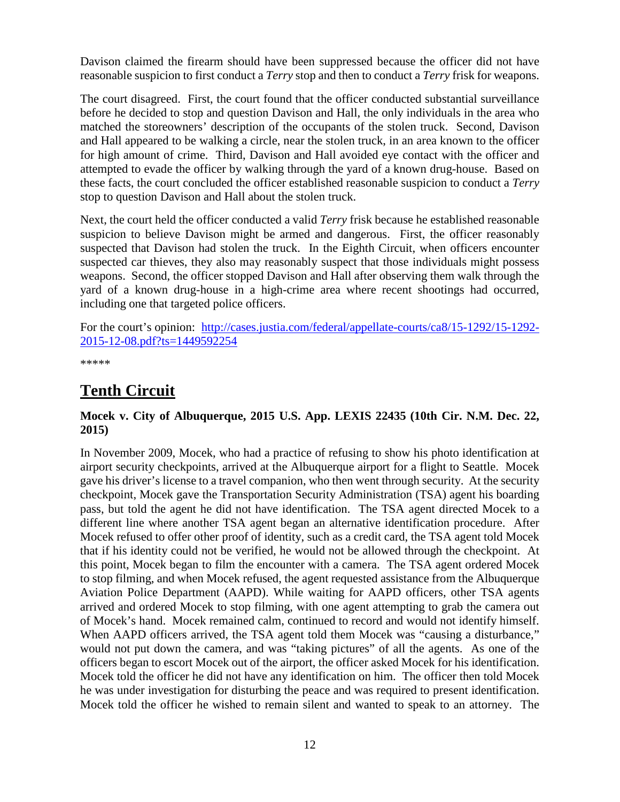Davison claimed the firearm should have been suppressed because the officer did not have reasonable suspicion to first conduct a *Terry* stop and then to conduct a *Terry* frisk for weapons.

The court disagreed. First, the court found that the officer conducted substantial surveillance before he decided to stop and question Davison and Hall, the only individuals in the area who matched the storeowners' description of the occupants of the stolen truck. Second, Davison and Hall appeared to be walking a circle, near the stolen truck, in an area known to the officer for high amount of crime. Third, Davison and Hall avoided eye contact with the officer and attempted to evade the officer by walking through the yard of a known drug-house. Based on these facts, the court concluded the officer established reasonable suspicion to conduct a *Terry* stop to question Davison and Hall about the stolen truck.

Next, the court held the officer conducted a valid *Terry* frisk because he established reasonable suspicion to believe Davison might be armed and dangerous. First, the officer reasonably suspected that Davison had stolen the truck. In the Eighth Circuit, when officers encounter suspected car thieves, they also may reasonably suspect that those individuals might possess weapons. Second, the officer stopped Davison and Hall after observing them walk through the yard of a known drug-house in a high-crime area where recent shootings had occurred, including one that targeted police officers.

For the court's opinion: [http://cases.justia.com/federal/appellate-courts/ca8/15-1292/15-1292-](http://cases.justia.com/federal/appellate-courts/ca8/15-1292/15-1292-2015-12-08.pdf?ts=1449592254) [2015-12-08.pdf?ts=1449592254](http://cases.justia.com/federal/appellate-courts/ca8/15-1292/15-1292-2015-12-08.pdf?ts=1449592254)

\*\*\*\*\*

## <span id="page-11-0"></span>**Tenth Circuit**

#### <span id="page-11-1"></span>**Mocek v. City of Albuquerque, 2015 U.S. App. LEXIS 22435 (10th Cir. N.M. Dec. 22, 2015)**

In November 2009, Mocek, who had a practice of refusing to show his photo identification at airport security checkpoints, arrived at the Albuquerque airport for a flight to Seattle. Mocek gave his driver's license to a travel companion, who then went through security. At the security checkpoint, Mocek gave the Transportation Security Administration (TSA) agent his boarding pass, but told the agent he did not have identification. The TSA agent directed Mocek to a different line where another TSA agent began an alternative identification procedure. After Mocek refused to offer other proof of identity, such as a credit card, the TSA agent told Mocek that if his identity could not be verified, he would not be allowed through the checkpoint. At this point, Mocek began to film the encounter with a camera. The TSA agent ordered Mocek to stop filming, and when Mocek refused, the agent requested assistance from the Albuquerque Aviation Police Department (AAPD). While waiting for AAPD officers, other TSA agents arrived and ordered Mocek to stop filming, with one agent attempting to grab the camera out of Mocek's hand. Mocek remained calm, continued to record and would not identify himself. When AAPD officers arrived, the TSA agent told them Mocek was "causing a disturbance," would not put down the camera, and was "taking pictures" of all the agents. As one of the officers began to escort Mocek out of the airport, the officer asked Mocek for his identification. Mocek told the officer he did not have any identification on him. The officer then told Mocek he was under investigation for disturbing the peace and was required to present identification. Mocek told the officer he wished to remain silent and wanted to speak to an attorney. The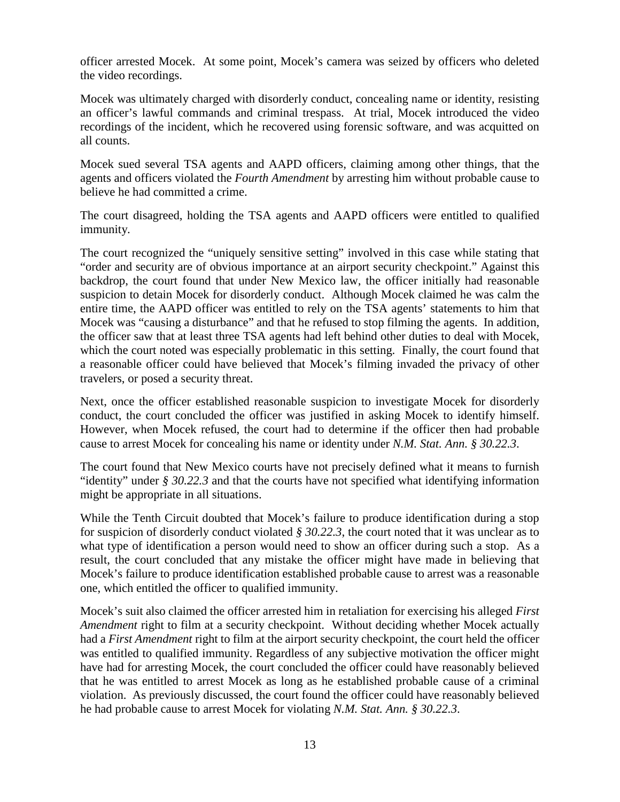officer arrested Mocek. At some point, Mocek's camera was seized by officers who deleted the video recordings.

Mocek was ultimately charged with disorderly conduct, concealing name or identity, resisting an officer's lawful commands and criminal trespass. At trial, Mocek introduced the video recordings of the incident, which he recovered using forensic software, and was acquitted on all counts.

Mocek sued several TSA agents and AAPD officers, claiming among other things, that the agents and officers violated the *Fourth Amendment* by arresting him without probable cause to believe he had committed a crime.

The court disagreed, holding the TSA agents and AAPD officers were entitled to qualified immunity.

The court recognized the "uniquely sensitive setting" involved in this case while stating that "order and security are of obvious importance at an airport security checkpoint." Against this backdrop, the court found that under New Mexico law, the officer initially had reasonable suspicion to detain Mocek for disorderly conduct. Although Mocek claimed he was calm the entire time, the AAPD officer was entitled to rely on the TSA agents' statements to him that Mocek was "causing a disturbance" and that he refused to stop filming the agents. In addition, the officer saw that at least three TSA agents had left behind other duties to deal with Mocek, which the court noted was especially problematic in this setting. Finally, the court found that a reasonable officer could have believed that Mocek's filming invaded the privacy of other travelers, or posed a security threat.

Next, once the officer established reasonable suspicion to investigate Mocek for disorderly conduct, the court concluded the officer was justified in asking Mocek to identify himself. However, when Mocek refused, the court had to determine if the officer then had probable cause to arrest Mocek for concealing his name or identity under *N.M. Stat. Ann. § 30.22.3*.

The court found that New Mexico courts have not precisely defined what it means to furnish "identity" under *§ 30.22.3* and that the courts have not specified what identifying information might be appropriate in all situations.

While the Tenth Circuit doubted that Mocek's failure to produce identification during a stop for suspicion of disorderly conduct violated *§ 30.22.3*, the court noted that it was unclear as to what type of identification a person would need to show an officer during such a stop. As a result, the court concluded that any mistake the officer might have made in believing that Mocek's failure to produce identification established probable cause to arrest was a reasonable one, which entitled the officer to qualified immunity.

Mocek's suit also claimed the officer arrested him in retaliation for exercising his alleged *First Amendment* right to film at a security checkpoint. Without deciding whether Mocek actually had a *First Amendment* right to film at the airport security checkpoint, the court held the officer was entitled to qualified immunity. Regardless of any subjective motivation the officer might have had for arresting Mocek, the court concluded the officer could have reasonably believed that he was entitled to arrest Mocek as long as he established probable cause of a criminal violation. As previously discussed, the court found the officer could have reasonably believed he had probable cause to arrest Mocek for violating *N.M. Stat. Ann. § 30.22.3*.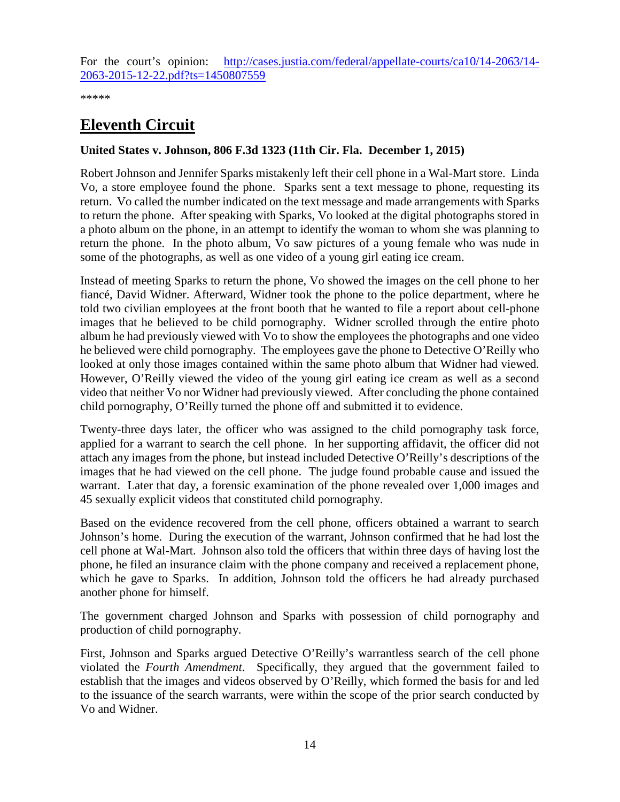For the court's opinion: [http://cases.justia.com/federal/appellate-courts/ca10/14-2063/14-](http://cases.justia.com/federal/appellate-courts/ca10/14-2063/14-2063-2015-12-22.pdf?ts=1450807559) [2063-2015-12-22.pdf?ts=1450807559](http://cases.justia.com/federal/appellate-courts/ca10/14-2063/14-2063-2015-12-22.pdf?ts=1450807559)

\*\*\*\*\*

## <span id="page-13-0"></span>**Eleventh Circuit**

#### <span id="page-13-1"></span>**United States v. Johnson, 806 F.3d 1323 (11th Cir. Fla. December 1, 2015)**

Robert Johnson and Jennifer Sparks mistakenly left their cell phone in a Wal-Mart store. Linda Vo, a store employee found the phone. Sparks sent a text message to phone, requesting its return. Vo called the number indicated on the text message and made arrangements with Sparks to return the phone. After speaking with Sparks, Vo looked at the digital photographs stored in a photo album on the phone, in an attempt to identify the woman to whom she was planning to return the phone. In the photo album, Vo saw pictures of a young female who was nude in some of the photographs, as well as one video of a young girl eating ice cream.

Instead of meeting Sparks to return the phone, Vo showed the images on the cell phone to her fiancé, David Widner. Afterward, Widner took the phone to the police department, where he told two civilian employees at the front booth that he wanted to file a report about cell-phone images that he believed to be child pornography. Widner scrolled through the entire photo album he had previously viewed with Vo to show the employees the photographs and one video he believed were child pornography. The employees gave the phone to Detective O'Reilly who looked at only those images contained within the same photo album that Widner had viewed. However, O'Reilly viewed the video of the young girl eating ice cream as well as a second video that neither Vo nor Widner had previously viewed. After concluding the phone contained child pornography, O'Reilly turned the phone off and submitted it to evidence.

Twenty-three days later, the officer who was assigned to the child pornography task force, applied for a warrant to search the cell phone. In her supporting affidavit, the officer did not attach any images from the phone, but instead included Detective O'Reilly's descriptions of the images that he had viewed on the cell phone. The judge found probable cause and issued the warrant. Later that day, a forensic examination of the phone revealed over 1,000 images and 45 sexually explicit videos that constituted child pornography.

Based on the evidence recovered from the cell phone, officers obtained a warrant to search Johnson's home. During the execution of the warrant, Johnson confirmed that he had lost the cell phone at Wal-Mart. Johnson also told the officers that within three days of having lost the phone, he filed an insurance claim with the phone company and received a replacement phone, which he gave to Sparks. In addition, Johnson told the officers he had already purchased another phone for himself.

The government charged Johnson and Sparks with possession of child pornography and production of child pornography.

First, Johnson and Sparks argued Detective O'Reilly's warrantless search of the cell phone violated the *Fourth Amendment*. Specifically, they argued that the government failed to establish that the images and videos observed by O'Reilly, which formed the basis for and led to the issuance of the search warrants, were within the scope of the prior search conducted by Vo and Widner.